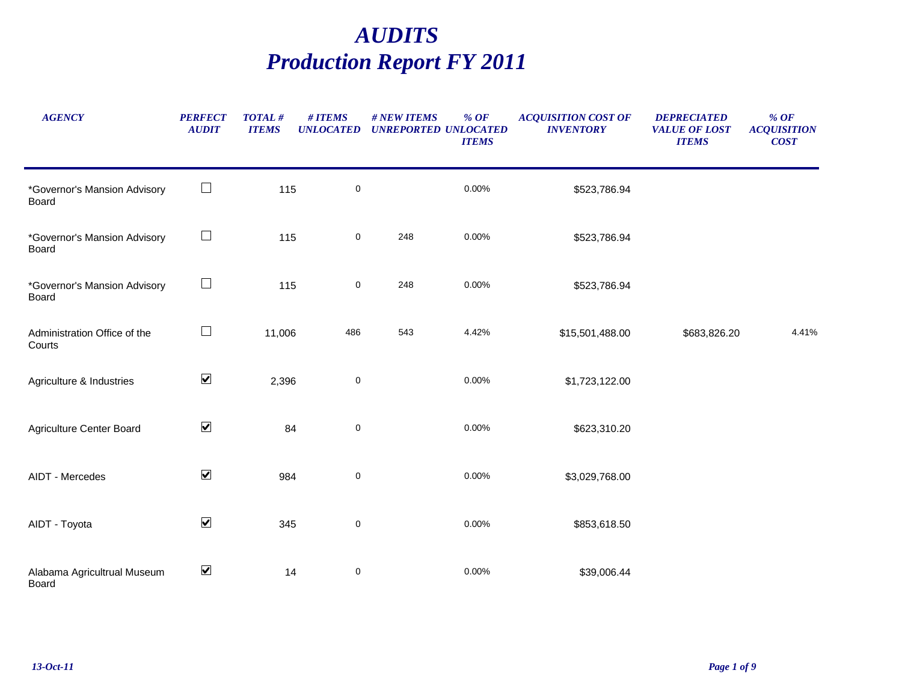## *AUDITS Production Report FY 2011*

| <b>AGENCY</b>                          | <b>PERFECT</b><br><b>AUDIT</b> | <b>TOTAL#</b><br><b>ITEMS</b> | # ITEMS<br><b>UNLOCATED</b> | # NEW ITEMS | % $OF$<br><b>UNREPORTED UNLOCATED</b><br><b>ITEMS</b> | <b>ACQUISITION COST OF</b><br><b>INVENTORY</b> | <b>DEPRECIATED</b><br><b>VALUE OF LOST</b><br><b>ITEMS</b> | $%$ OF<br><b>ACQUISITION</b><br><b>COST</b> |
|----------------------------------------|--------------------------------|-------------------------------|-----------------------------|-------------|-------------------------------------------------------|------------------------------------------------|------------------------------------------------------------|---------------------------------------------|
| *Governor's Mansion Advisory<br>Board  | $\Box$                         | 115                           | $\pmb{0}$                   |             | 0.00%                                                 | \$523,786.94                                   |                                                            |                                             |
| *Governor's Mansion Advisory<br>Board  | $\Box$                         | 115                           | $\mathbf 0$                 | 248         | 0.00%                                                 | \$523,786.94                                   |                                                            |                                             |
| *Governor's Mansion Advisory<br>Board  | $\Box$                         | 115                           | $\mathsf 0$                 | 248         | 0.00%                                                 | \$523,786.94                                   |                                                            |                                             |
| Administration Office of the<br>Courts | $\Box$                         | 11,006                        | 486                         | 543         | 4.42%                                                 | \$15,501,488.00                                | \$683,826.20                                               | 4.41%                                       |
| Agriculture & Industries               | $\blacktriangledown$           | 2,396                         | $\mathbf 0$                 |             | 0.00%                                                 | \$1,723,122.00                                 |                                                            |                                             |
| Agriculture Center Board               | $\blacktriangledown$           | 84                            | 0                           |             | 0.00%                                                 | \$623,310.20                                   |                                                            |                                             |
| AIDT - Mercedes                        | $\blacktriangledown$           | 984                           | $\mathsf 0$                 |             | 0.00%                                                 | \$3,029,768.00                                 |                                                            |                                             |
| AIDT - Toyota                          | $\blacktriangledown$           | 345                           | $\pmb{0}$                   |             | 0.00%                                                 | \$853,618.50                                   |                                                            |                                             |
| Alabama Agricultrual Museum<br>Doord   | $\blacktriangledown$           | 14                            | $\pmb{0}$                   |             | 0.00%                                                 | \$39,006.44                                    |                                                            |                                             |

Board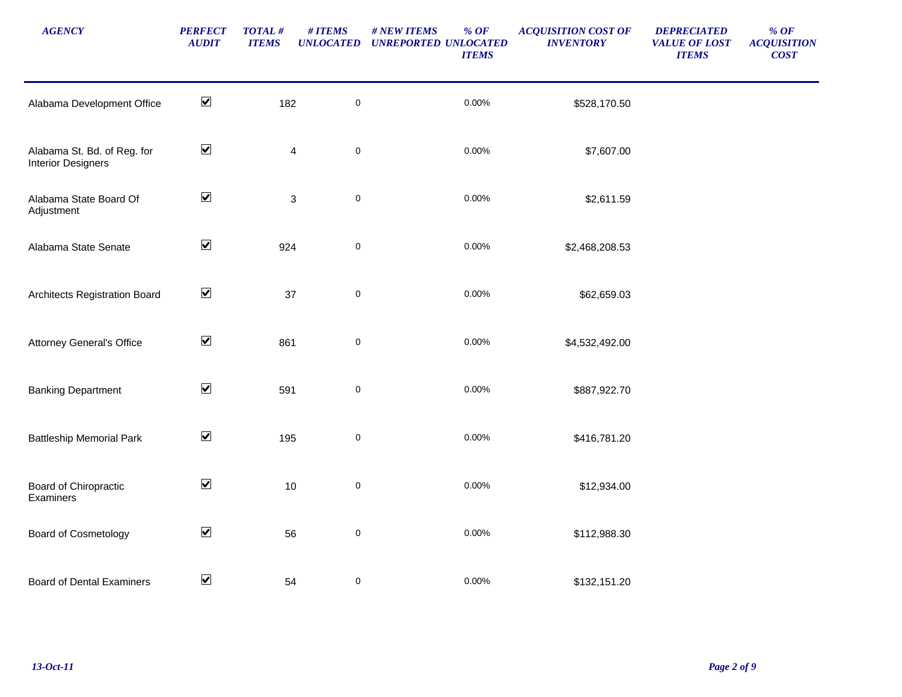| <b>AGENCY</b>                                            | <b>PERFECT</b><br><b>AUDIT</b> | $\pmb{TOTAL\,\#}$<br><b>ITEMS</b> | # ITEMS<br><b>UNLOCATED</b> | # NEW ITEMS<br>$%$ OF<br><b>UNREPORTED UNLOCATED</b><br><b>ITEMS</b> | <b>ACQUISITION COST OF</b><br><b>INVENTORY</b> | <b>DEPRECIATED</b><br><b>VALUE OF LOST</b><br><b>ITEMS</b> | $%$ OF<br><b>ACQUISITION</b><br><b>COST</b> |
|----------------------------------------------------------|--------------------------------|-----------------------------------|-----------------------------|----------------------------------------------------------------------|------------------------------------------------|------------------------------------------------------------|---------------------------------------------|
| Alabama Development Office                               | $\blacktriangledown$           | 182                               | $\pmb{0}$                   | 0.00%                                                                | \$528,170.50                                   |                                                            |                                             |
| Alabama St. Bd. of Reg. for<br><b>Interior Designers</b> | $\blacktriangledown$           |                                   | $\pmb{0}$<br>$\overline{4}$ | $0.00\%$                                                             | \$7,607.00                                     |                                                            |                                             |
| Alabama State Board Of<br>Adjustment                     | $\blacktriangledown$           |                                   | $\pmb{0}$<br>$\sqrt{3}$     | 0.00%                                                                | \$2,611.59                                     |                                                            |                                             |
| Alabama State Senate                                     | $\blacktriangledown$           | 924                               | $\pmb{0}$                   | 0.00%                                                                | \$2,468,208.53                                 |                                                            |                                             |
| Architects Registration Board                            | $\blacktriangledown$           | 37                                | $\pmb{0}$                   | 0.00%                                                                | \$62,659.03                                    |                                                            |                                             |
| <b>Attorney General's Office</b>                         | $\blacktriangledown$           | 861                               | $\mathsf 0$                 | 0.00%                                                                | \$4,532,492.00                                 |                                                            |                                             |
| <b>Banking Department</b>                                | $\blacktriangledown$           | 591                               | $\pmb{0}$                   | 0.00%                                                                | \$887,922.70                                   |                                                            |                                             |
| <b>Battleship Memorial Park</b>                          | $\blacktriangledown$           | 195                               | $\pmb{0}$                   | 0.00%                                                                | \$416,781.20                                   |                                                            |                                             |
| Board of Chiropractic<br>Examiners                       | $\blacktriangledown$           | 10                                | $\pmb{0}$                   | 0.00%                                                                | \$12,934.00                                    |                                                            |                                             |
| Board of Cosmetology                                     | $\blacktriangledown$           | 56                                | $\pmb{0}$                   | 0.00%                                                                | \$112,988.30                                   |                                                            |                                             |
| <b>Board of Dental Examiners</b>                         | $\blacktriangledown$           | 54                                | 0                           | 0.00%                                                                | \$132,151.20                                   |                                                            |                                             |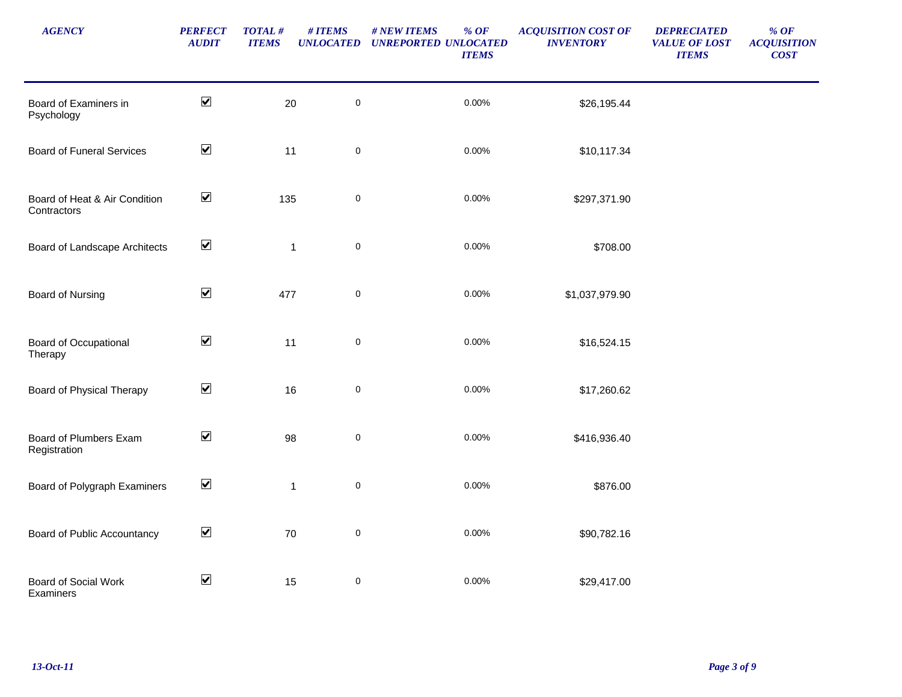| <b>AGENCY</b>                                | <b>PERFECT</b><br><b>AUDIT</b> | TOTAL#<br><b>ITEMS</b> | # ITEMS<br><b>UNLOCATED</b> | # NEW ITEMS<br>% $OF$<br><b>UNREPORTED UNLOCATED</b><br><b>ITEMS</b> | <b>ACQUISITION COST OF</b><br><b>INVENTORY</b> | <b>DEPRECIATED</b><br><b>VALUE OF LOST</b><br><b>ITEMS</b> | $\%$ OF<br><b>ACQUISITION</b><br><b>COST</b> |
|----------------------------------------------|--------------------------------|------------------------|-----------------------------|----------------------------------------------------------------------|------------------------------------------------|------------------------------------------------------------|----------------------------------------------|
| Board of Examiners in<br>Psychology          | $\blacktriangledown$           | 20                     | $\pmb{0}$                   | 0.00%                                                                | \$26,195.44                                    |                                                            |                                              |
| <b>Board of Funeral Services</b>             | $\blacktriangledown$           | 11                     | $\mathsf 0$                 | 0.00%                                                                | \$10,117.34                                    |                                                            |                                              |
| Board of Heat & Air Condition<br>Contractors | $\blacktriangledown$           | 135                    | $\pmb{0}$                   | 0.00%                                                                | \$297,371.90                                   |                                                            |                                              |
| Board of Landscape Architects                | $\blacktriangledown$           |                        | $\pmb{0}$<br>$\mathbf 1$    | 0.00%                                                                | \$708.00                                       |                                                            |                                              |
| <b>Board of Nursing</b>                      | $\blacktriangledown$           | 477                    | $\pmb{0}$                   | 0.00%                                                                | \$1,037,979.90                                 |                                                            |                                              |
| Board of Occupational<br>Therapy             | $\blacktriangledown$           | 11                     | $\pmb{0}$                   | 0.00%                                                                | \$16,524.15                                    |                                                            |                                              |
| Board of Physical Therapy                    | $\blacktriangledown$           | 16                     | $\pmb{0}$                   | 0.00%                                                                | \$17,260.62                                    |                                                            |                                              |
| Board of Plumbers Exam<br>Registration       | $\blacktriangledown$           | 98                     | $\pmb{0}$                   | 0.00%                                                                | \$416,936.40                                   |                                                            |                                              |
| Board of Polygraph Examiners                 | $\blacktriangledown$           |                        | $\pmb{0}$<br>$\mathbf{1}$   | 0.00%                                                                | \$876.00                                       |                                                            |                                              |
| Board of Public Accountancy                  | $\blacktriangledown$           | 70                     | $\pmb{0}$                   | 0.00%                                                                | \$90,782.16                                    |                                                            |                                              |
| Board of Social Work<br>Examiners            | $\blacktriangledown$           | 15                     | $\pmb{0}$                   | 0.00%                                                                | \$29,417.00                                    |                                                            |                                              |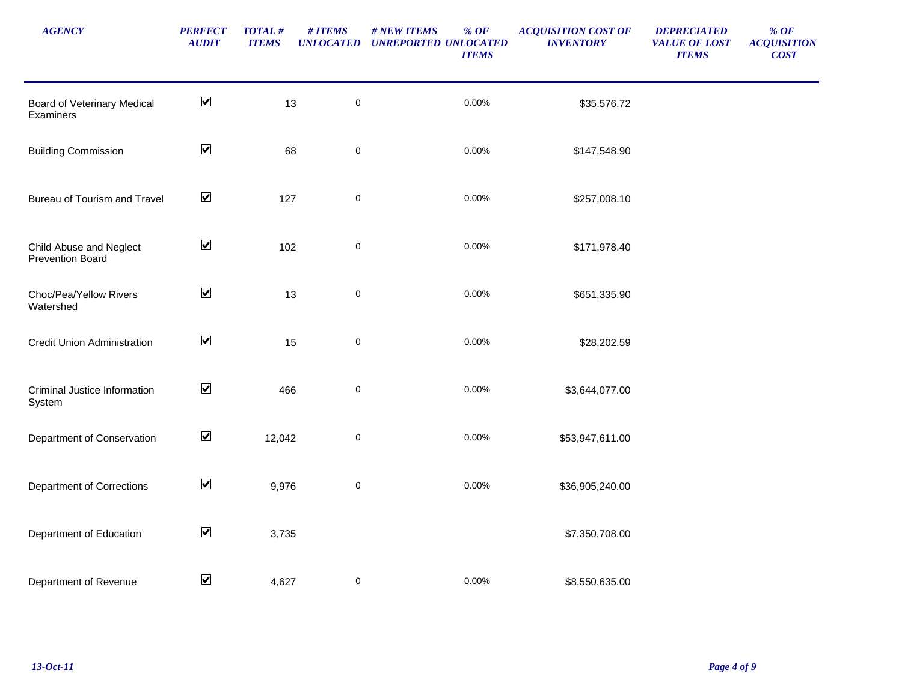| <b>AGENCY</b>                                      | <b>PERFECT</b><br><b>AUDIT</b> | $\pmb{TOTAL\,\#}$<br><b>ITEMS</b> | # ITEMS<br><b>UNLOCATED</b> | # NEW ITEMS<br>$%$ OF<br><b>UNREPORTED UNLOCATED</b><br><b>ITEMS</b> | <b>ACQUISITION COST OF</b><br><b>INVENTORY</b> | <b>DEPRECIATED</b><br><b>VALUE OF LOST</b><br><b>ITEMS</b> | $%$ OF<br><b>ACQUISITION</b><br><b>COST</b> |
|----------------------------------------------------|--------------------------------|-----------------------------------|-----------------------------|----------------------------------------------------------------------|------------------------------------------------|------------------------------------------------------------|---------------------------------------------|
| Board of Veterinary Medical<br>Examiners           | $\blacktriangledown$           | 13                                | $\pmb{0}$                   | 0.00%                                                                | \$35,576.72                                    |                                                            |                                             |
| <b>Building Commission</b>                         | $\blacktriangledown$           | 68                                | $\mathbf 0$                 | 0.00%                                                                | \$147,548.90                                   |                                                            |                                             |
| Bureau of Tourism and Travel                       | $\blacktriangledown$           | 127                               | $\mathbf 0$                 | 0.00%                                                                | \$257,008.10                                   |                                                            |                                             |
| Child Abuse and Neglect<br><b>Prevention Board</b> | $\blacktriangledown$           | 102                               | $\pmb{0}$                   | 0.00%                                                                | \$171,978.40                                   |                                                            |                                             |
| Choc/Pea/Yellow Rivers<br>Watershed                | $\blacktriangledown$           | 13                                | $\mathbf 0$                 | 0.00%                                                                | \$651,335.90                                   |                                                            |                                             |
| <b>Credit Union Administration</b>                 | $\blacktriangledown$           | 15                                | $\pmb{0}$                   | 0.00%                                                                | \$28,202.59                                    |                                                            |                                             |
| Criminal Justice Information<br>System             | $\blacktriangledown$           | 466                               | $\pmb{0}$                   | 0.00%                                                                | \$3,644,077.00                                 |                                                            |                                             |
| Department of Conservation                         | $\blacktriangledown$           | 12,042                            | $\pmb{0}$                   | 0.00%                                                                | \$53,947,611.00                                |                                                            |                                             |
| <b>Department of Corrections</b>                   | $\blacktriangledown$           | 9,976                             | $\pmb{0}$                   | 0.00%                                                                | \$36,905,240.00                                |                                                            |                                             |
| Department of Education                            | $\blacktriangledown$           | 3,735                             |                             |                                                                      | \$7,350,708.00                                 |                                                            |                                             |
| Department of Revenue                              | $\blacktriangledown$           | 4,627                             | 0                           | 0.00%                                                                | \$8,550,635.00                                 |                                                            |                                             |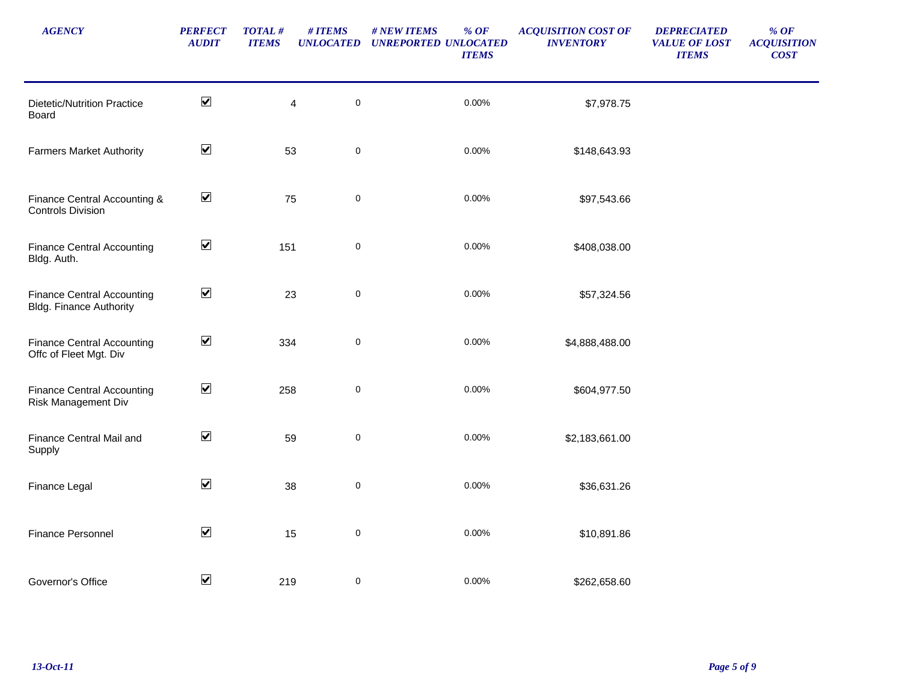| <b>AGENCY</b>                                                       | <b>PERFECT</b><br><b>AUDIT</b> | <b>TOTAL#</b><br><b>ITEMS</b> | # ITEMS<br><b>UNLOCATED</b> | # NEW ITEMS<br>$%$ OF<br><b>UNREPORTED UNLOCATED</b><br><b>ITEMS</b> | <b>ACQUISITION COST OF</b><br><b>INVENTORY</b> | <b>DEPRECIATED</b><br><b>VALUE OF LOST</b><br><b>ITEMS</b> | $\%$ OF<br><b>ACQUISITION</b><br><b>COST</b> |
|---------------------------------------------------------------------|--------------------------------|-------------------------------|-----------------------------|----------------------------------------------------------------------|------------------------------------------------|------------------------------------------------------------|----------------------------------------------|
| <b>Dietetic/Nutrition Practice</b><br>Board                         | $\blacktriangleright$          |                               | $\pmb{0}$<br>$\overline{4}$ | 0.00%                                                                | \$7,978.75                                     |                                                            |                                              |
| <b>Farmers Market Authority</b>                                     | $\blacktriangledown$           | 53                            | $\pmb{0}$                   | 0.00%                                                                | \$148,643.93                                   |                                                            |                                              |
| Finance Central Accounting &<br><b>Controls Division</b>            | $\blacktriangledown$           | 75                            | $\pmb{0}$                   | 0.00%                                                                | \$97,543.66                                    |                                                            |                                              |
| <b>Finance Central Accounting</b><br>Bldg. Auth.                    | $\blacktriangledown$           | 151                           | $\pmb{0}$                   | 0.00%                                                                | \$408,038.00                                   |                                                            |                                              |
| <b>Finance Central Accounting</b><br><b>Bldg. Finance Authority</b> | $\blacktriangledown$           | 23                            | $\pmb{0}$                   | 0.00%                                                                | \$57,324.56                                    |                                                            |                                              |
| <b>Finance Central Accounting</b><br>Offc of Fleet Mgt. Div         | $\blacktriangledown$           | 334                           | $\pmb{0}$                   | 0.00%                                                                | \$4,888,488.00                                 |                                                            |                                              |
| <b>Finance Central Accounting</b><br>Risk Management Div            | $\blacktriangledown$           | 258                           | $\pmb{0}$                   | 0.00%                                                                | \$604,977.50                                   |                                                            |                                              |
| Finance Central Mail and<br>Supply                                  | $\blacktriangledown$           | 59                            | $\pmb{0}$                   | 0.00%                                                                | \$2,183,661.00                                 |                                                            |                                              |
| Finance Legal                                                       | $\blacktriangledown$           | 38                            | $\pmb{0}$                   | 0.00%                                                                | \$36,631.26                                    |                                                            |                                              |
| Finance Personnel                                                   | $\blacktriangledown$           | 15                            | $\pmb{0}$                   | 0.00%                                                                | \$10,891.86                                    |                                                            |                                              |
| Governor's Office                                                   | $\blacktriangledown$           | 219                           | $\mathbf 0$                 | 0.00%                                                                | \$262,658.60                                   |                                                            |                                              |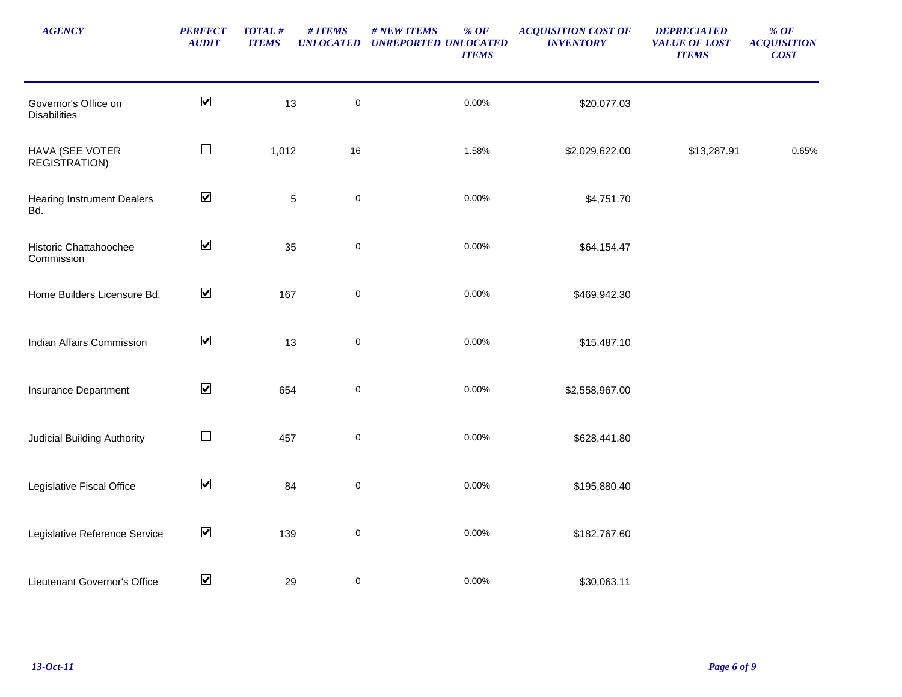| <b>AGENCY</b>                               | <b>PERFECT</b><br><b>AUDIT</b> | TOTAL#<br><b>ITEMS</b> | # ITEMS<br><b>UNLOCATED</b> | # NEW ITEMS<br>$%$ OF<br><b>UNREPORTED UNLOCATED</b><br><b>ITEMS</b> | <b>ACQUISITION COST OF</b><br><b>INVENTORY</b> | <b>DEPRECIATED</b><br><b>VALUE OF LOST</b><br><b>ITEMS</b> | $\%$ OF<br><b>ACQUISITION</b><br>COST |
|---------------------------------------------|--------------------------------|------------------------|-----------------------------|----------------------------------------------------------------------|------------------------------------------------|------------------------------------------------------------|---------------------------------------|
| Governor's Office on<br><b>Disabilities</b> | $\blacktriangledown$           | 13                     | $\pmb{0}$                   | 0.00%                                                                | \$20,077.03                                    |                                                            |                                       |
| HAVA (SEE VOTER<br><b>REGISTRATION)</b>     | $\Box$                         | 1,012                  | 16                          | 1.58%                                                                | \$2,029,622.00                                 | \$13,287.91                                                | 0.65%                                 |
| <b>Hearing Instrument Dealers</b><br>Bd.    | $\blacktriangledown$           |                        | $\mathsf 0$<br>$\,$ 5 $\,$  | 0.00%                                                                | \$4,751.70                                     |                                                            |                                       |
| Historic Chattahoochee<br>Commission        | $\blacktriangledown$           | 35                     | $\mathsf 0$                 | 0.00%                                                                | \$64,154.47                                    |                                                            |                                       |
| Home Builders Licensure Bd.                 | $\blacktriangledown$           | 167                    | $\pmb{0}$                   | 0.00%                                                                | \$469,942.30                                   |                                                            |                                       |
| <b>Indian Affairs Commission</b>            | $\blacktriangledown$           | 13                     | $\pmb{0}$                   | 0.00%                                                                | \$15,487.10                                    |                                                            |                                       |
| Insurance Department                        | $\blacktriangledown$           | 654                    | $\pmb{0}$                   | 0.00%                                                                | \$2,558,967.00                                 |                                                            |                                       |
| <b>Judicial Building Authority</b>          | $\Box$                         | 457                    | $\pmb{0}$                   | 0.00%                                                                | \$628,441.80                                   |                                                            |                                       |
| Legislative Fiscal Office                   | $\blacktriangledown$           | 84                     | $\pmb{0}$                   | 0.00%                                                                | \$195,880.40                                   |                                                            |                                       |
| Legislative Reference Service               | $\blacktriangledown$           | 139                    | $\pmb{0}$                   | 0.00%                                                                | \$182,767.60                                   |                                                            |                                       |
| Lieutenant Governor's Office                | $\blacktriangledown$           | 29                     | 0                           | 0.00%                                                                | \$30,063.11                                    |                                                            |                                       |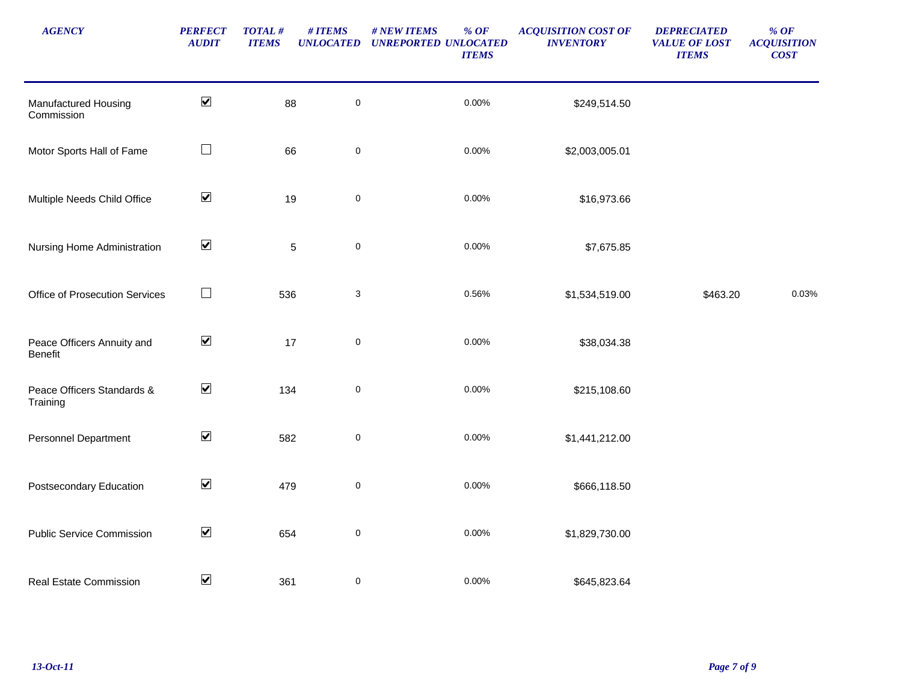| <b>AGENCY</b>                          | <b>PERFECT</b><br><b>AUDIT</b> | <b>TOTAL#</b><br><b>ITEMS</b> | # ITEMS<br><b>UNLOCATED</b> | # NEW ITEMS<br>$\%$ OF<br><b>UNREPORTED UNLOCATED</b><br><b>ITEMS</b> | <b>ACQUISITION COST OF</b><br><b>INVENTORY</b> | <b>DEPRECIATED</b><br><b>VALUE OF LOST</b><br><b>ITEMS</b> | $%$ OF<br><b>ACQUISITION</b><br><b>COST</b> |
|----------------------------------------|--------------------------------|-------------------------------|-----------------------------|-----------------------------------------------------------------------|------------------------------------------------|------------------------------------------------------------|---------------------------------------------|
| Manufactured Housing<br>Commission     | $\blacktriangledown$           | 88                            | $\pmb{0}$                   | 0.00%                                                                 | \$249,514.50                                   |                                                            |                                             |
| Motor Sports Hall of Fame              | $\Box$                         | 66                            | $\pmb{0}$                   | 0.00%                                                                 | \$2,003,005.01                                 |                                                            |                                             |
| Multiple Needs Child Office            | $\blacktriangledown$           |                               | $\pmb{0}$<br>19             | 0.00%                                                                 | \$16,973.66                                    |                                                            |                                             |
| Nursing Home Administration            | $\blacktriangledown$           |                               | $\mathbf 5$<br>$\pmb{0}$    | 0.00%                                                                 | \$7,675.85                                     |                                                            |                                             |
| Office of Prosecution Services         | $\Box$                         | 536                           | $\sqrt{3}$                  | 0.56%                                                                 | \$1,534,519.00                                 | \$463.20                                                   | 0.03%                                       |
| Peace Officers Annuity and<br>Benefit  | $\blacktriangledown$           | 17                            | $\pmb{0}$                   | 0.00%                                                                 | \$38,034.38                                    |                                                            |                                             |
| Peace Officers Standards &<br>Training | $\blacktriangledown$           | 134                           | $\pmb{0}$                   | 0.00%                                                                 | \$215,108.60                                   |                                                            |                                             |
| <b>Personnel Department</b>            | $\blacktriangledown$           | 582                           | $\pmb{0}$                   | 0.00%                                                                 | \$1,441,212.00                                 |                                                            |                                             |
| Postsecondary Education                | $\blacktriangledown$           | 479                           | $\pmb{0}$                   | 0.00%                                                                 | \$666,118.50                                   |                                                            |                                             |
| <b>Public Service Commission</b>       | $\blacktriangledown$           | 654                           | $\pmb{0}$                   | 0.00%                                                                 | \$1,829,730.00                                 |                                                            |                                             |
| Real Estate Commission                 | $\blacktriangledown$           | 361                           | $\boldsymbol{0}$            | 0.00%                                                                 | \$645,823.64                                   |                                                            |                                             |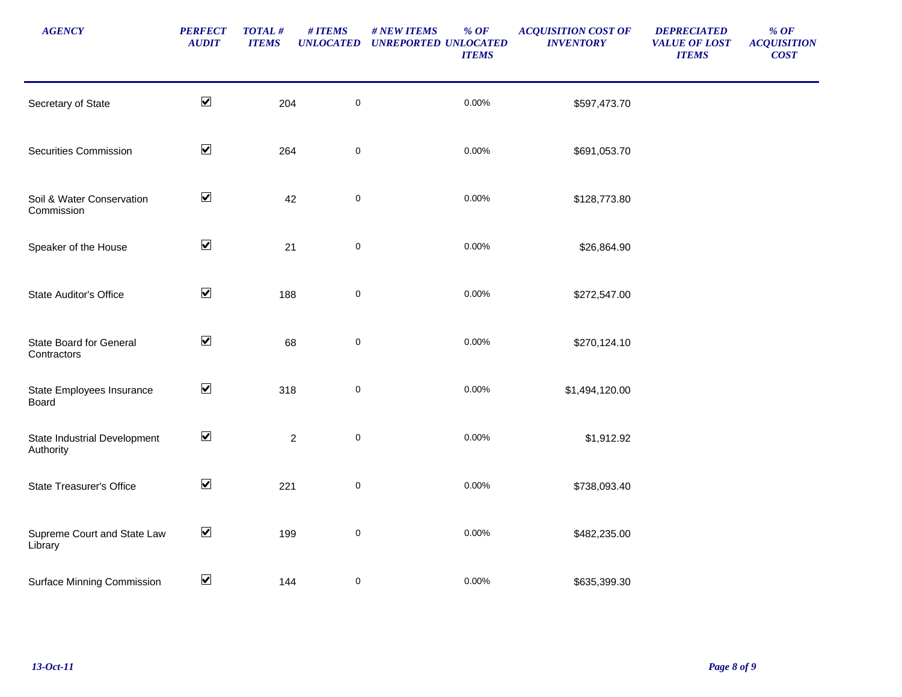| <b>AGENCY</b>                                 | <b>PERFECT</b><br><b>AUDIT</b> | $\boldsymbol{TOT\!AL\,\#}$<br><b>ITEMS</b> | # ITEMS<br><b>UNLOCATED</b> | # NEW ITEMS<br>$%$ OF<br><b>UNREPORTED UNLOCATED</b><br><b>ITEMS</b> | <b>ACQUISITION COST OF</b><br><b>INVENTORY</b> | <b>DEPRECIATED</b><br><b>VALUE OF LOST</b><br><b>ITEMS</b> | $\%$ OF<br><b>ACQUISITION</b><br><b>COST</b> |
|-----------------------------------------------|--------------------------------|--------------------------------------------|-----------------------------|----------------------------------------------------------------------|------------------------------------------------|------------------------------------------------------------|----------------------------------------------|
| Secretary of State                            | $\blacktriangleright$          | 204                                        | $\pmb{0}$                   | 0.00%                                                                | \$597,473.70                                   |                                                            |                                              |
| <b>Securities Commission</b>                  | $\blacktriangleright$          | 264                                        | $\pmb{0}$                   | 0.00%                                                                | \$691,053.70                                   |                                                            |                                              |
| Soil & Water Conservation<br>Commission       | $\blacktriangledown$           | 42                                         | $\pmb{0}$                   | 0.00%                                                                | \$128,773.80                                   |                                                            |                                              |
| Speaker of the House                          | $\blacktriangledown$           | 21                                         | $\pmb{0}$                   | 0.00%                                                                | \$26,864.90                                    |                                                            |                                              |
| <b>State Auditor's Office</b>                 | $\blacktriangledown$           | 188                                        | $\pmb{0}$                   | 0.00%                                                                | \$272,547.00                                   |                                                            |                                              |
| <b>State Board for General</b><br>Contractors | $\blacktriangledown$           | 68                                         | $\pmb{0}$                   | 0.00%                                                                | \$270,124.10                                   |                                                            |                                              |
| State Employees Insurance<br>Board            | $\blacktriangledown$           | 318                                        | $\pmb{0}$                   | 0.00%                                                                | \$1,494,120.00                                 |                                                            |                                              |
| State Industrial Development<br>Authority     | $\blacktriangledown$           |                                            | $\pmb{0}$<br>$\overline{2}$ | 0.00%                                                                | \$1,912.92                                     |                                                            |                                              |
| <b>State Treasurer's Office</b>               | $\blacktriangleright$          | 221                                        | $\pmb{0}$                   | 0.00%                                                                | \$738,093.40                                   |                                                            |                                              |
| Supreme Court and State Law<br>Library        | $\blacktriangledown$           | 199                                        | $\pmb{0}$                   | 0.00%                                                                | \$482,235.00                                   |                                                            |                                              |
| <b>Surface Minning Commission</b>             | $\blacktriangledown$           | 144                                        | $\pmb{0}$                   | 0.00%                                                                | \$635,399.30                                   |                                                            |                                              |